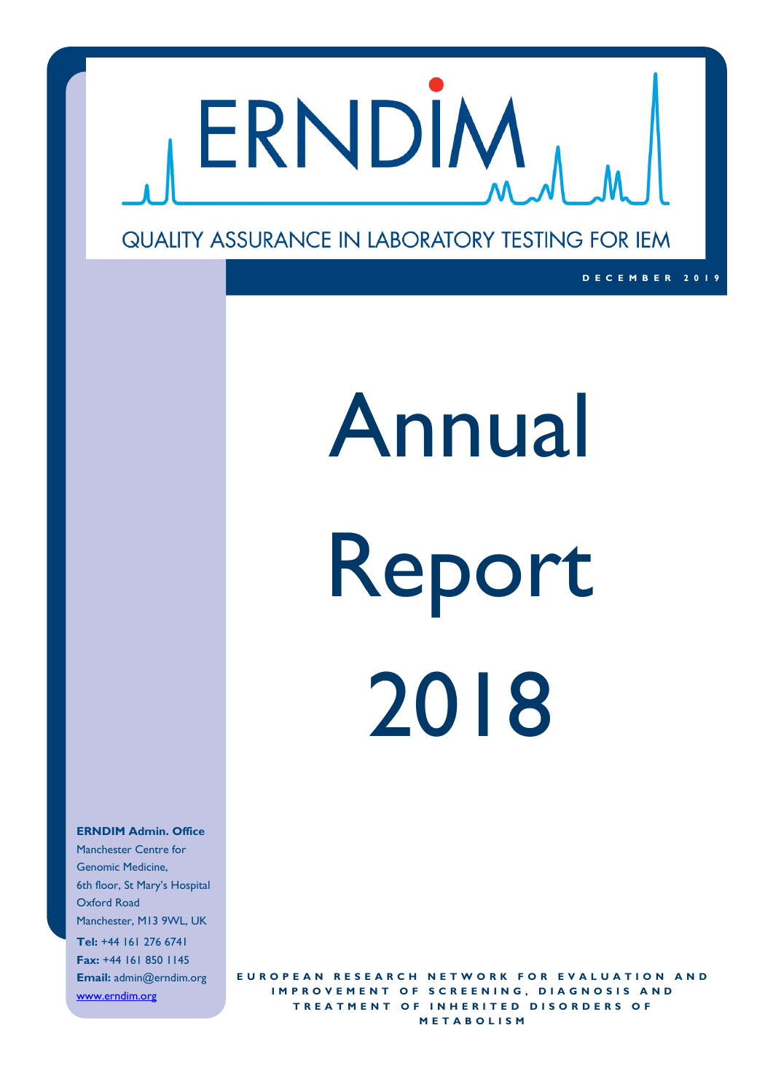

### QUALITY ASSURANCE IN LABORATORY TESTING FOR IEM

# Annual Report 2018

**D E C E M B E R 2 0 1 9**

#### **ERNDIM Admin. Office**

Manchester Centre for Genomic Medicine, 6th floor, St Mary's Hospital Oxford Road Manchester, M13 9WL, UK **Tel:** +44 161 276 6741 **Fax:** +44 161 850 1145 **Email:** admin@erndim.org www.erndim.org

**EUROPEAN RESEARCH NETWORK FOR EVALUATION AND IMPROVEMENT OF SCREENING, DIAGNOSIS AND TREATMENT OF INHERITED DISORDERS OF M E T A B O L I S M**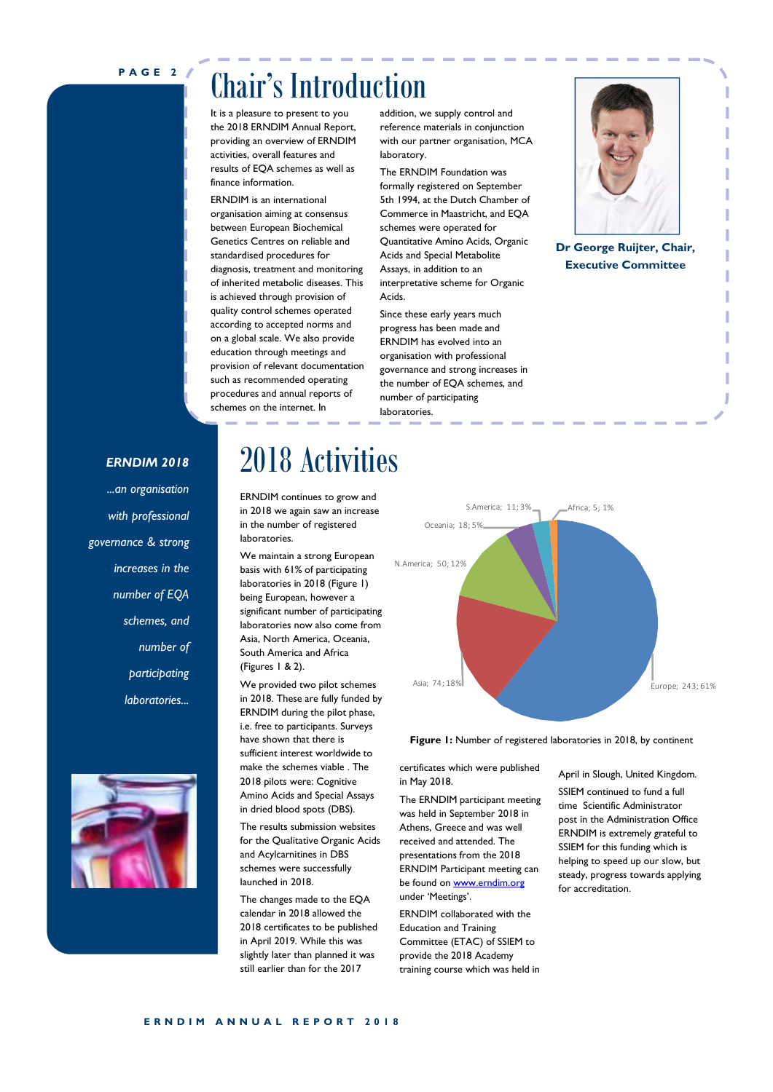#### **P A G E 2**

## Chair's Introduction

It is a pleasure to present to you the 2018 ERNDIM Annual Report, providing an overview of ERNDIM activities, overall features and results of EQA schemes as well as finance information.

ERNDIM is an international organisation aiming at consensus between European Biochemical Genetics Centres on reliable and standardised procedures for diagnosis, treatment and monitoring of inherited metabolic diseases. This is achieved through provision of quality control schemes operated according to accepted norms and on a global scale. We also provide education through meetings and provision of relevant documentation such as recommended operating procedures and annual reports of schemes on the internet. In

addition, we supply control and reference materials in conjunction with our partner organisation, MCA laboratory.

The ERNDIM Foundation was formally registered on September 5th 1994, at the Dutch Chamber of Commerce in Maastricht, and EQA schemes were operated for Quantitative Amino Acids, Organic Acids and Special Metabolite Assays, in addition to an interpretative scheme for Organic Acids.

Since these early years much progress has been made and ERNDIM has evolved into an organisation with professional governance and strong increases in the number of EQA schemes, and number of participating laboratories.



**Dr George Ruijter, Chair, Executive Committee**

#### *ERNDIM 2018*

*...an organisation with professional governance & strong increases in the number of EQA schemes, and number of participating laboratories...*



## 2018 Activities

ERNDIM continues to grow and in 2018 we again saw an increase in the number of registered laboratories.

We maintain a strong European basis with 61% of participating laboratories in 2018 (Figure 1) being European, however a significant number of participating laboratories now also come from Asia, North America, Oceania, South America and Africa (Figures 1 & 2).

We provided two pilot schemes in 2018. These are fully funded by ERNDIM during the pilot phase, i.e. free to participants. Surveys have shown that there is sufficient interest worldwide to make the schemes viable . The 2018 pilots were: Cognitive Amino Acids and Special Assays in dried blood spots (DBS).

The results submission websites for the Qualitative Organic Acids and Acylcarnitines in DBS schemes were successfully launched in 2018.

The changes made to the EQA calendar in 2018 allowed the 2018 certificates to be published in April 2019. While this was slightly later than planned it was still earlier than for the 2017



**Figure 1:** Number of registered laboratories in 2018, by continent

certificates which were published in May 2018.

The ERNDIM participant meeting was held in September 2018 in Athens, Greece and was well received and attended. The presentations from the 2018 ERNDIM Participant meeting can be found on www.erndim.org under 'Meetings'.

ERNDIM collaborated with the Education and Training Committee (ETAC) of SSIEM to provide the 2018 Academy training course which was held in April in Slough, United Kingdom.

SSIEM continued to fund a full time Scientific Administrator post in the Administration Office ERNDIM is extremely grateful to SSIEM for this funding which is helping to speed up our slow, but steady, progress towards applying for accreditation.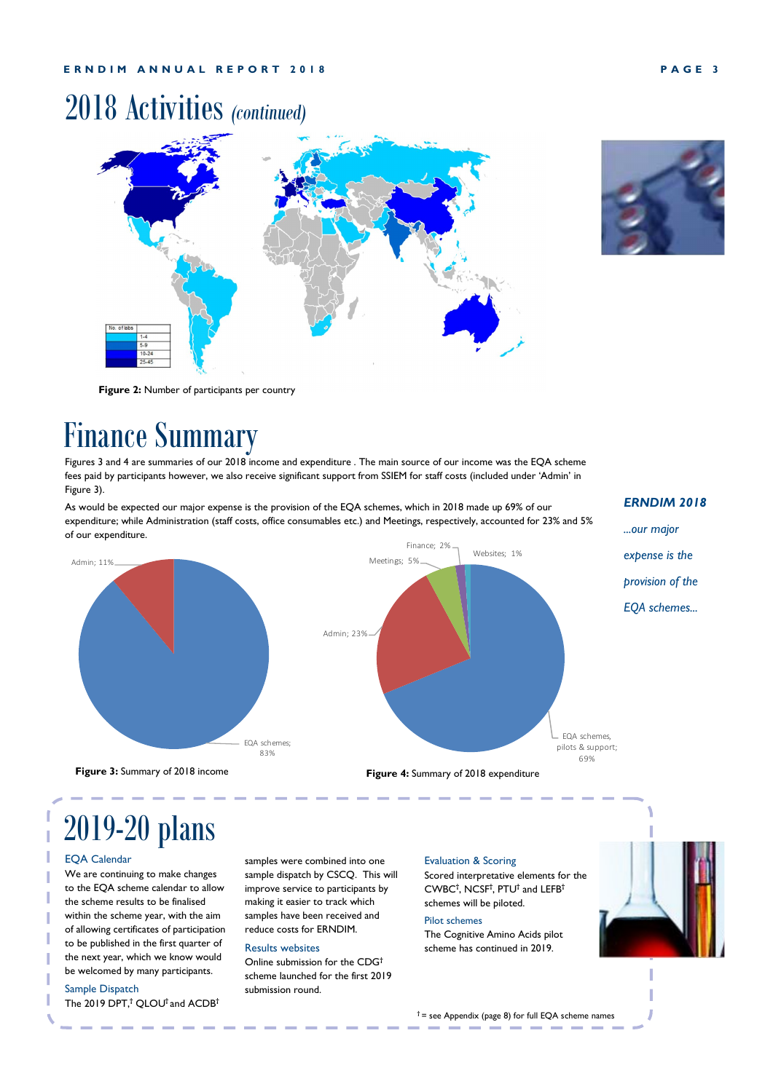## 2018 Activities *(continued)*





**Figure 2:** Number of participants per country

## Finance Summary

Figures 3 and 4 are summaries of our 2018 income and expenditure . The main source of our income was the EQA scheme fees paid by participants however, we also receive significant support from SSIEM for staff costs (included under 'Admin' in Figure 3).

As would be expected our major expense is the provision of the EQA schemes, which in 2018 made up 69% of our expenditure; while Administration (staff costs, office consumables etc.) and Meetings, respectively, accounted for 23% and 5% of our expenditure.

#### *ERNDIM 2018*

*...our major* 



**Figure 3:** Summary of 2018 income

# 2019-20 plans

#### EQA Calendar

We are continuing to make changes to the EQA scheme calendar to allow the scheme results to be finalised within the scheme year, with the aim of allowing certificates of participation to be published in the first quarter of the next year, which we know would be welcomed by many participants.

#### Sample Dispatch

The 2019 DPT,**†** QLOU**†** and ACDB**†**

samples were combined into one sample dispatch by CSCQ. This will improve service to participants by making it easier to track which samples have been received and reduce costs for ERNDIM.

#### Results websites

Online submission for the CDG**†** scheme launched for the first 2019 submission round.

#### Evaluation & Scoring

Scored interpretative elements for the CWBC**†** , NCSF**†** , PTU**†** and LEFB**†** schemes will be piloted.

#### Pilot schemes

**Figure 4:** Summary of 2018 expenditure

The Cognitive Amino Acids pilot scheme has continued in 2019.



**†** = see Appendix (page 8) for full EQA scheme names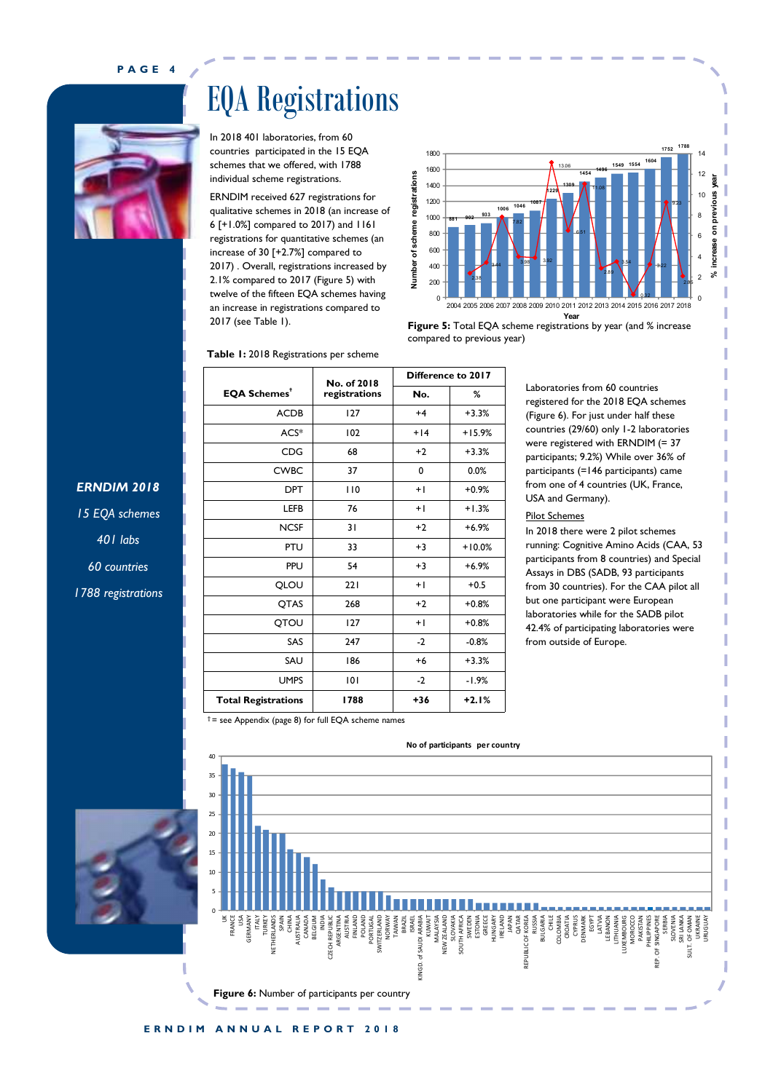**P A G E 4**

EQA Registrations

In 2018 401 laboratories, from 60 countries participated in the 15 EQA schemes that we offered, with 1788 individual scheme registrations. ERNDIM received 627 registrations for qualitative schemes in 2018 (an increase of 6 [+1.0%] compared to 2017) and 1161 registrations for quantitative schemes (an increase of 30 [+2.7%] compared to 2017) . Overall, registrations increased by 2.1% compared to 2017 (Figure 5) with twelve of the fifteen EQA schemes having an increase in registrations compared to 2017 (see Table 1).



**Figure 5:** Total EQA scheme registrations by year (and % increase compared to previous year)

| Table 1: 2018 Registrations per scheme |                    |          |  |  |  |  |  |  |  |  |
|----------------------------------------|--------------------|----------|--|--|--|--|--|--|--|--|
|                                        | Difference to 2017 |          |  |  |  |  |  |  |  |  |
| registrations                          | No.                | %        |  |  |  |  |  |  |  |  |
| 127                                    | $+4$               | $+3.3%$  |  |  |  |  |  |  |  |  |
| 102                                    | $+14$              | $+15.9%$ |  |  |  |  |  |  |  |  |
| 68                                     | $+2$               | $+3.3%$  |  |  |  |  |  |  |  |  |
| 37                                     | 0                  | 0.0%     |  |  |  |  |  |  |  |  |
| 110                                    | $+ $               | $+0.9%$  |  |  |  |  |  |  |  |  |
| 76                                     | $+ $               | $+1.3%$  |  |  |  |  |  |  |  |  |
| 31                                     | $+2$               | $+6.9%$  |  |  |  |  |  |  |  |  |
| 33                                     | $+3$               | $+10.0%$ |  |  |  |  |  |  |  |  |
| 54                                     | $+3$               | $+6.9%$  |  |  |  |  |  |  |  |  |
| 221                                    | $+1$               | $+0.5$   |  |  |  |  |  |  |  |  |
| 268                                    | $+2$               | $+0.8%$  |  |  |  |  |  |  |  |  |
| 127                                    | $+1$               | $+0.8%$  |  |  |  |  |  |  |  |  |
| 247                                    | $-2$               | $-0.8%$  |  |  |  |  |  |  |  |  |
| 186                                    | $+6$               | $+3.3%$  |  |  |  |  |  |  |  |  |
| 101                                    | $-2$               | $-1.9%$  |  |  |  |  |  |  |  |  |
| 1788                                   | $+36$              | $+2.1%$  |  |  |  |  |  |  |  |  |
|                                        | No. of 2018        |          |  |  |  |  |  |  |  |  |

Laboratories from 60 countries registered for the 2018 EQA schemes (Figure 6). For just under half these countries (29/60) only 1-2 laboratories were registered with ERNDIM (= 37 participants; 9.2%) While over 36% of participants (=146 participants) came from one of 4 countries (UK, France, USA and Germany).

#### Pilot Schemes

In 2018 there were 2 pilot schemes running: Cognitive Amino Acids (CAA, 53 participants from 8 countries) and Special Assays in DBS (SADB, 93 participants from 30 countries). For the CAA pilot all but one participant were European laboratories while for the SADB pilot 42.4% of participating laboratories were from outside of Europe.

*15 EQA schemes 401 labs*

*ERNDIM 2018*

*60 countries*

*1788 registrations*





#### **†** = see Appendix (page 8) for full EQA scheme names

**ERNDIM ANNUAL REPORT 2018**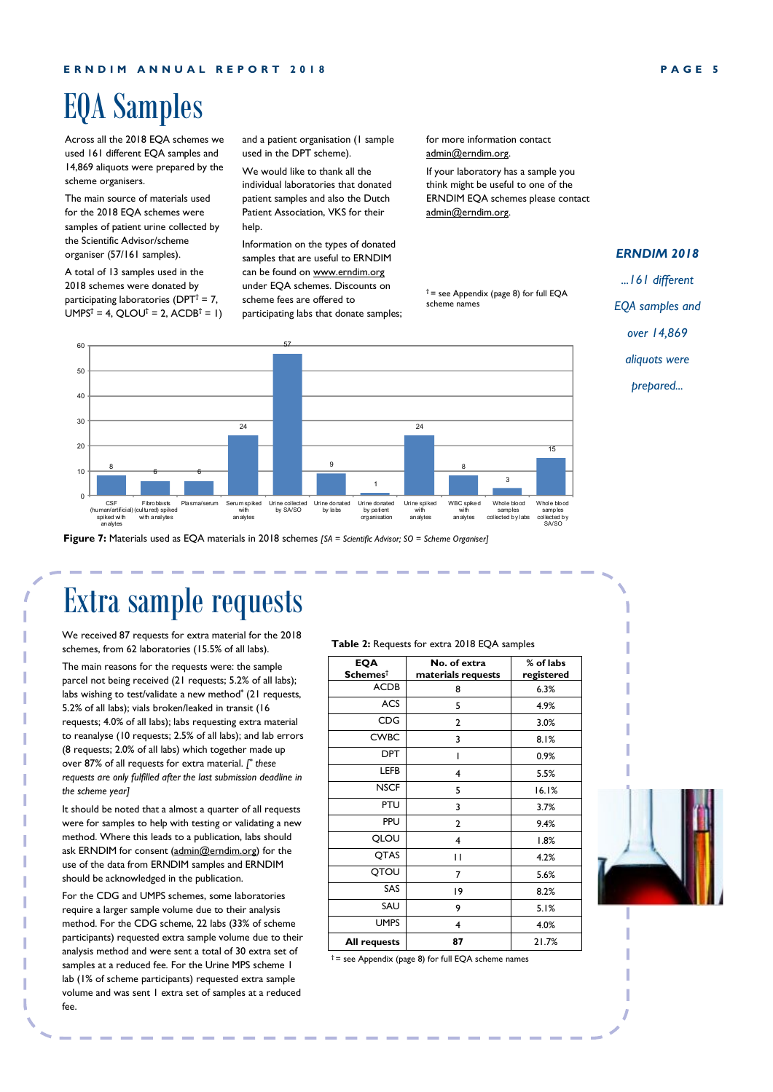## EQA Samples

Across all the 2018 EQA schemes we used 161 different EQA samples and 14,869 aliquots were prepared by the scheme organisers.

The main source of materials used for the 2018 EQA schemes were samples of patient urine collected by the Scientific Advisor/scheme organiser (57/161 samples).

A total of 13 samples used in the 2018 schemes were donated by participating laboratories (DPT**†** = 7, UMPS**†** = 4, QLOU**†** = 2, ACDB**†** = 1) and a patient organisation (1 sample used in the DPT scheme).

We would like to thank all the individual laboratories that donated patient samples and also the Dutch Patient Association, VKS for their help.

Information on the types of donated samples that are useful to ERNDIM can be found on www.erndim.org under EQA schemes. Discounts on scheme fees are offered to participating labs that donate samples; for more information contact admin@erndim.org.

If your laboratory has a sample you think might be useful to one of the ERNDIM EQA schemes please contact admin@erndim.org.

**†** = see Appendix (page 8) for full EQA scheme names



**Figure 7:** Materials used as EQA materials in 2018 schemes *[SA = Scientific Advisor; SO = Scheme Organiser]*

## Extra sample requests

We received 87 requests for extra material for the 2018 schemes, from 62 laboratories (15.5% of all labs).

The main reasons for the requests were: the sample parcel not being received (21 requests; 5.2% of all labs); labs wishing to test/validate a new method**\*** (21 requests, 5.2% of all labs); vials broken/leaked in transit (16 requests; 4.0% of all labs); labs requesting extra material to reanalyse (10 requests; 2.5% of all labs); and lab errors (8 requests; 2.0% of all labs) which together made up over 87% of all requests for extra material. *[ \* these requests are only fulfilled after the last submission deadline in the scheme year]*

It should be noted that a almost a quarter of all requests were for samples to help with testing or validating a new method. Where this leads to a publication, labs should ask ERNDIM for consent (admin@erndim.org) for the use of the data from ERNDIM samples and ERNDIM should be acknowledged in the publication.

For the CDG and UMPS schemes, some laboratories require a larger sample volume due to their analysis method. For the CDG scheme, 22 labs (33% of scheme participants) requested extra sample volume due to their analysis method and were sent a total of 30 extra set of samples at a reduced fee. For the Urine MPS scheme 1 lab (1% of scheme participants) requested extra sample volume and was sent 1 extra set of samples at a reduced fee.

**Table 2:** Requests for extra 2018 EQA samples

| <b>EQA</b>              | No. of extra       | % of labs  |  |  |  |  |
|-------------------------|--------------------|------------|--|--|--|--|
| $S$ chemes <sup>†</sup> | materials requests | registered |  |  |  |  |
| <b>ACDB</b>             | 8                  | 6.3%       |  |  |  |  |
| <b>ACS</b>              | 5                  | 4.9%       |  |  |  |  |
| <b>CDG</b>              | 2                  | 3.0%       |  |  |  |  |
| <b>CWBC</b>             | 3                  | 8.1%       |  |  |  |  |
| <b>DPT</b>              | ı                  | 0.9%       |  |  |  |  |
| LEFB                    | 4                  | 5.5%       |  |  |  |  |
| <b>NSCF</b>             | 5                  | 16.1%      |  |  |  |  |
| <b>PTU</b>              | 3                  | 3.7%       |  |  |  |  |
| <b>PPU</b>              | $\mathbf{2}$       | 9.4%       |  |  |  |  |
| QLOU                    | 4                  | 1.8%       |  |  |  |  |
| QTAS                    | П                  | 4.2%       |  |  |  |  |
| QTOU                    | 7                  | 5.6%       |  |  |  |  |
| SAS                     | 19                 | 8.2%       |  |  |  |  |
| SAU                     | 9                  | 5.1%       |  |  |  |  |
| <b>UMPS</b>             | 4                  | 4.0%       |  |  |  |  |
| All requests            | 87                 | 21.7%      |  |  |  |  |

**†** = see Appendix (page 8) for full EQA scheme names

#### *ERNDIM 2018*

*...161 different* 

*EQA samples and* 

*over 14,869* 

*aliquots were* 

*prepared...*

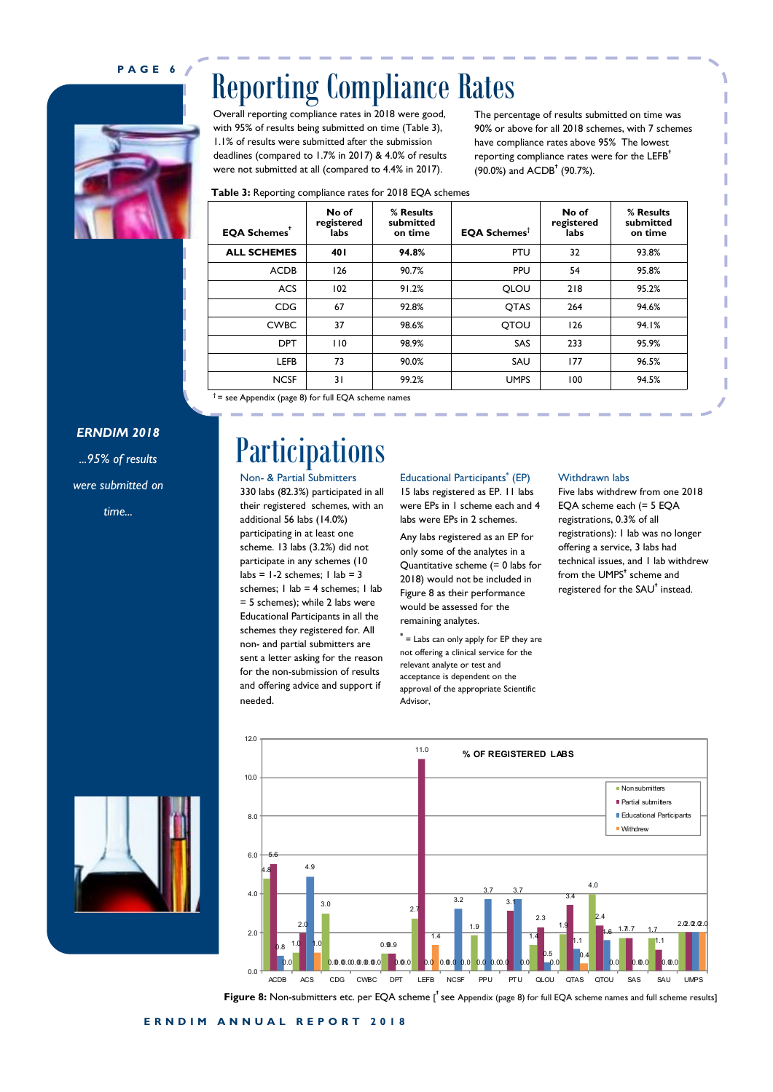#### **P A G E 6**



## Reporting Compliance Rates

Overall reporting compliance rates in 2018 were good, with 95% of results being submitted on time (Table 3), 1.1% of results were submitted after the submission deadlines (compared to 1.7% in 2017) & 4.0% of results were not submitted at all (compared to 4.4% in 2017).

The percentage of results submitted on time was 90% or above for all 2018 schemes, with 7 schemes have compliance rates above 95% The lowest reporting compliance rates were for the LEFB**†** (90.0%) and ACDB**†** (90.7%).

| <b>Table 3:</b> Reporting compliance rates for 2018 EQA schemes |  |  |  |  |
|-----------------------------------------------------------------|--|--|--|--|
|-----------------------------------------------------------------|--|--|--|--|

| <b>EQA Schemes</b> <sup>+</sup> | No of<br>registered<br>labs | % Results<br>submitted<br>on time | <b>EQA Schemes<sup>t</sup></b> | No of<br>registered<br>labs | % Results<br>submitted<br>on time |
|---------------------------------|-----------------------------|-----------------------------------|--------------------------------|-----------------------------|-----------------------------------|
| <b>ALL SCHEMES</b>              | 401                         | 94.8%                             | PTU                            | 32                          | 93.8%                             |
| <b>ACDB</b>                     | 126                         | 90.7%                             | PPU                            | 54                          | 95.8%                             |
| <b>ACS</b>                      | 102                         | 91.2%                             | QLOU                           | 218                         | 95.2%                             |
| <b>CDG</b>                      | 67                          | 92.8%                             | QTAS                           | 264                         | 94.6%                             |
| <b>CWBC</b>                     | 37                          | 98.6%                             | <b>OTOU</b>                    | 126                         | 94.1%                             |
| <b>DPT</b>                      | 110                         | 98.9%                             | SAS                            | 233                         | 95.9%                             |
| <b>LEFB</b>                     | 73                          | 90.0%                             | SAU                            | 177                         | 96.5%                             |
| <b>NCSF</b>                     | 31                          | 99.2%                             | <b>UMPS</b>                    | 100                         | 94.5%                             |

**†** = see Appendix (page 8) for full EQA scheme names

#### *ERNDIM 2018*

*...95% of results were submitted on time...*

## Participations

Non- & Partial Submitters 330 labs (82.3%) participated in all their registered schemes, with an additional 56 labs (14.0%) participating in at least one scheme. 13 labs (3.2%) did not participate in any schemes (10  $\text{labs} = 1-2 \text{ schemes}; 1 \text{ lab} = 3$ schemes; I lab = 4 schemes; I lab = 5 schemes); while 2 labs were Educational Participants in all the schemes they registered for. All non- and partial submitters are sent a letter asking for the reason for the non-submission of results and offering advice and support if needed.

#### Educational Participants**\*** (EP) 15 labs registered as EP. 11 labs were EPs in 1 scheme each and 4 labs were EPs in 2 schemes.

Any labs registered as an EP for only some of the analytes in a Quantitative scheme (= 0 labs for 2018) would not be included in Figure 8 as their performance would be assessed for the remaining analytes.

**\*** = Labs can only apply for EP they are not offering a clinical service for the relevant analyte or test and acceptance is dependent on the approval of the appropriate Scientific Advisor,

#### Withdrawn labs

Five labs withdrew from one 2018 EQA scheme each (= 5 EQA registrations, 0.3% of all registrations): 1 lab was no longer offering a service, 3 labs had technical issues, and 1 lab withdrew from the UMPS**†** scheme and registered for the SAU**†** instead.





Figure 8: Non-submitters etc. per EQA scheme [<sup>†</sup> see Appendix (page 8) for full EQA scheme names and full scheme results]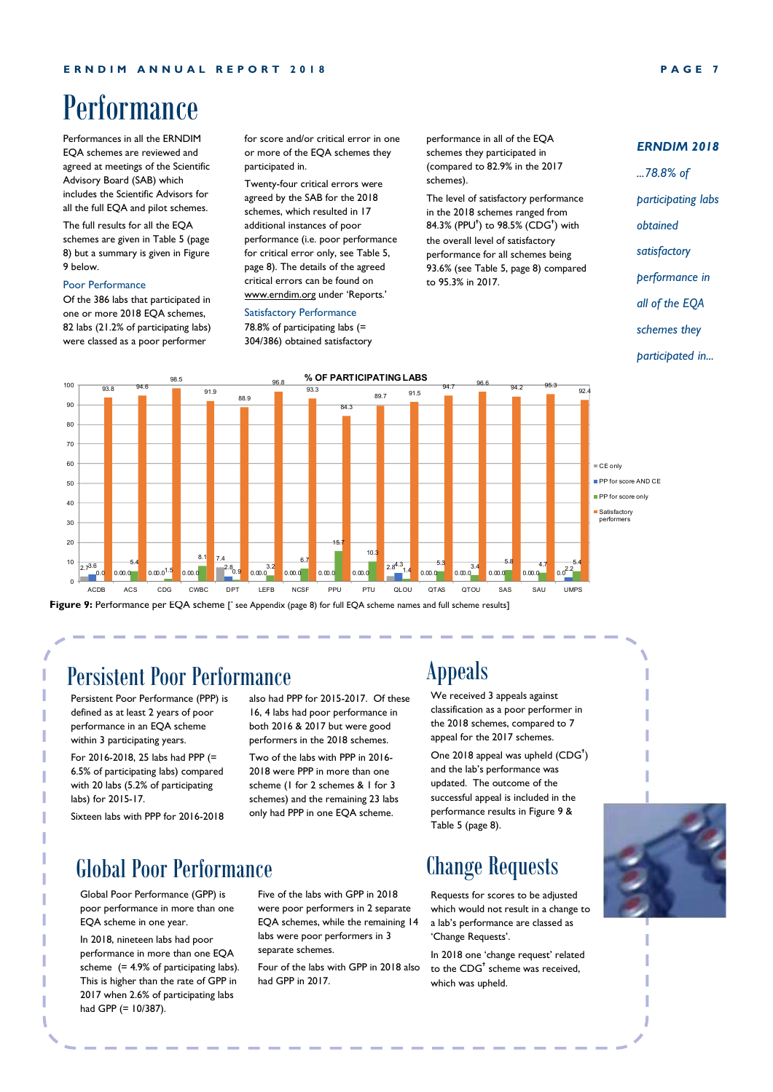## Performance

Performances in all the ERNDIM EQA schemes are reviewed and agreed at meetings of the Scientific Advisory Board (SAB) which includes the Scientific Advisors for all the full EQA and pilot schemes.

The full results for all the EQA schemes are given in Table 5 (page 8) but a summary is given in Figure 9 below.

#### Poor Performance

Of the 386 labs that participated in one or more 2018 EQA schemes, 82 labs (21.2% of participating labs) were classed as a poor performer

for score and/or critical error in one or more of the EQA schemes they participated in.

Twenty-four critical errors were agreed by the SAB for the 2018 schemes, which resulted in 17 additional instances of poor performance (i.e. poor performance for critical error only, see Table 5, page 8). The details of the agreed critical errors can be found on www.erndim.org under 'Reports.'

#### Satisfactory Performance

78.8% of participating labs (= 304/386) obtained satisfactory

performance in all of the EQA schemes they participated in (compared to 82.9% in the 2017 schemes).

The level of satisfactory performance in the 2018 schemes ranged from 84.3% (PPU**†** ) to 98.5% (CDG**†** ) with the overall level of satisfactory performance for all schemes being 93.6% (see Table 5, page 8) compared to 95.3% in 2017.

#### *ERNDIM 2018*

- *...78.8% of*
- *participating labs*
- *obtained*
- *satisfactory*
- *performance in*
- *all of the EQA*
- *schemes they*
- *participated in...*



Figure 9: Performance per EQA scheme ['see Appendix (page 8) for full EQA scheme names and full scheme results]

#### Persistent Poor Performance

Persistent Poor Performance (PPP) is defined as at least 2 years of poor performance in an EQA scheme within 3 participating years.

For 2016-2018, 25 labs had PPP (= 6.5% of participating labs) compared with 20 labs (5.2% of participating labs) for 2015-17.

Sixteen labs with PPP for 2016-2018

also had PPP for 2015-2017. Of these 16, 4 labs had poor performance in both 2016 & 2017 but were good performers in the 2018 schemes. Two of the labs with PPP in 2016-

2018 were PPP in more than one scheme (1 for 2 schemes & 1 for 3 schemes) and the remaining 23 labs only had PPP in one EQA scheme.

## Global Poor Performance

Global Poor Performance (GPP) is poor performance in more than one EQA scheme in one year.

In 2018, nineteen labs had poor performance in more than one EQA scheme  $(= 4.9\%$  of participating labs). This is higher than the rate of GPP in 2017 when 2.6% of participating labs had GPP (= 10/387).

Five of the labs with GPP in 2018 were poor performers in 2 separate EQA schemes, while the remaining 14 labs were poor performers in 3 separate schemes.

Four of the labs with GPP in 2018 also had GPP in 2017.

## Appeals

We received 3 appeals against classification as a poor performer in the 2018 schemes, compared to 7 appeal for the 2017 schemes.

One 2018 appeal was upheld (CDG**†** ) and the lab's performance was updated. The outcome of the successful appeal is included in the performance results in Figure 9 & Table 5 (page 8).

## Change Requests

Requests for scores to be adjusted which would not result in a change to a lab's performance are classed as 'Change Requests'.

In 2018 one 'change request' related to the CDG**†** scheme was received, which was upheld.